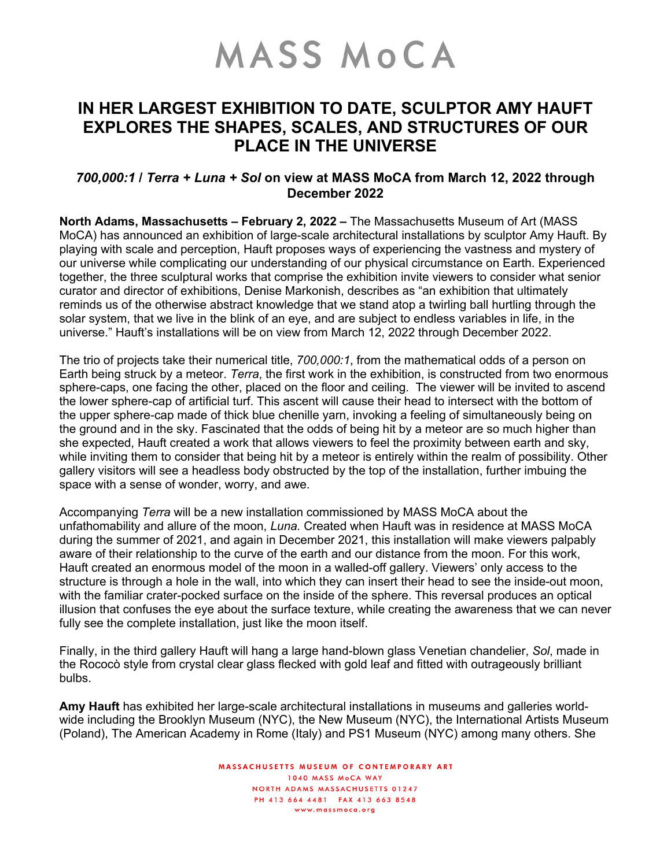## MASS MOCA

## **IN HER LARGEST EXHIBITION TO DATE, SCULPTOR AMY HAUFT EXPLORES THE SHAPES, SCALES, AND STRUCTURES OF OUR PLACE IN THE UNIVERSE**

## *700,000:1* **/** *Terra + Luna + Sol* **on view at MASS MoCA from March 12, 2022 through December 2022**

**North Adams, Massachusetts – February 2, 2022 –** The Massachusetts Museum of Art (MASS MoCA) has announced an exhibition of large-scale architectural installations by sculptor Amy Hauft. By playing with scale and perception, Hauft proposes ways of experiencing the vastness and mystery of our universe while complicating our understanding of our physical circumstance on Earth. Experienced together, the three sculptural works that comprise the exhibition invite viewers to consider what senior curator and director of exhibitions, Denise Markonish, describes as "an exhibition that ultimately reminds us of the otherwise abstract knowledge that we stand atop a twirling ball hurtling through the solar system, that we live in the blink of an eye, and are subject to endless variables in life, in the universe." Hauft's installations will be on view from March 12, 2022 through December 2022.

The trio of projects take their numerical title, *700,000:1*, from the mathematical odds of a person on Earth being struck by a meteor. *Terra*, the first work in the exhibition, is constructed from two enormous sphere-caps, one facing the other, placed on the floor and ceiling. The viewer will be invited to ascend the lower sphere-cap of artificial turf. This ascent will cause their head to intersect with the bottom of the upper sphere-cap made of thick blue chenille yarn, invoking a feeling of simultaneously being on the ground and in the sky. Fascinated that the odds of being hit by a meteor are so much higher than she expected, Hauft created a work that allows viewers to feel the proximity between earth and sky, while inviting them to consider that being hit by a meteor is entirely within the realm of possibility. Other gallery visitors will see a headless body obstructed by the top of the installation, further imbuing the space with a sense of wonder, worry, and awe.

Accompanying *Terra* will be a new installation commissioned by MASS MoCA about the unfathomability and allure of the moon, *Luna.* Created when Hauft was in residence at MASS MoCA during the summer of 2021, and again in December 2021, this installation will make viewers palpably aware of their relationship to the curve of the earth and our distance from the moon. For this work, Hauft created an enormous model of the moon in a walled-off gallery. Viewers' only access to the structure is through a hole in the wall, into which they can insert their head to see the inside-out moon, with the familiar crater-pocked surface on the inside of the sphere. This reversal produces an optical illusion that confuses the eye about the surface texture, while creating the awareness that we can never fully see the complete installation, just like the moon itself.

Finally, in the third gallery Hauft will hang a large hand-blown glass Venetian chandelier, *Sol*, made in the Rococò style from crystal clear glass flecked with gold leaf and fitted with outrageously brilliant bulbs.

**Amy Hauft** has exhibited her large-scale architectural installations in museums and galleries worldwide including the Brooklyn Museum (NYC), the New Museum (NYC), the International Artists Museum (Poland), The American Academy in Rome (Italy) and PS1 Museum (NYC) among many others. She

> MASSACHUSETTS MUSEUM OF CONTEMPORARY ART 1040 MASS MOCA WAY NORTH ADAMS MASSACHUSETTS 01247 PH 413 664 4481 FAX 413 663 8548 www.massmoca.org